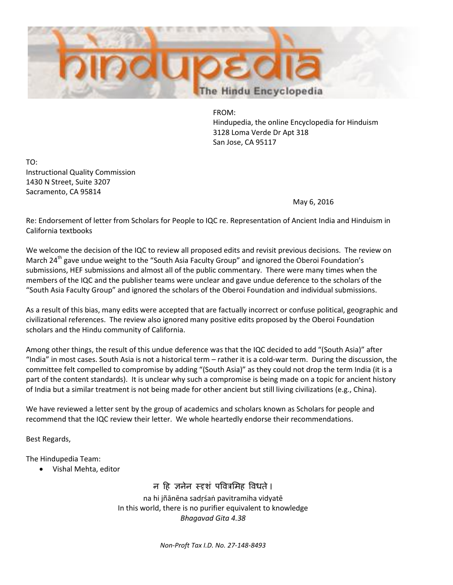

FROM: Hindupedia, the online Encyclopedia for Hinduism 3128 Loma Verde Dr Apt 318 San Jose, CA 95117

TO: Instructional Quality Commission 1430 N Street, Suite 3207 Sacramento, CA 95814

May 6, 2016

Re: Endorsement of letter from Scholars for People to IQC re. Representation of Ancient India and Hinduism in California textbooks

We welcome the decision of the IQC to review all proposed edits and revisit previous decisions. The review on March 24<sup>th</sup> gave undue weight to the "South Asia Faculty Group" and ignored the Oberoi Foundation's submissions, HEF submissions and almost all of the public commentary. There were many times when the members of the IQC and the publisher teams were unclear and gave undue deference to the scholars of the "South Asia Faculty Group" and ignored the scholars of the Oberoi Foundation and individual submissions.

As a result of this bias, many edits were accepted that are factually incorrect or confuse political, geographic and civilizational references. The review also ignored many positive edits proposed by the Oberoi Foundation scholars and the Hindu community of California.

Among other things, the result of this undue deference was that the IQC decided to add "(South Asia)" after "India" in most cases. South Asia is not a historical term – rather it is a cold-war term. During the discussion, the committee felt compelled to compromise by adding "(South Asia)" as they could not drop the term India (it is a part of the content standards). It is unclear why such a compromise is being made on a topic for ancient history of India but a similar treatment is not being made for other ancient but still living civilizations (e.g., China).

We have reviewed a letter sent by the group of academics and scholars known as Scholars for people and recommend that the IQC review their letter. We whole heartedly endorse their recommendations.

Best Regards,

The Hindupedia Team:

Vishal Mehta, editor

## न हि जनेन स्दृशं पवित्रमिह विधते।

na hi jñānēna sadṛśaṅ pavitramiha vidyatē In this world, there is no purifier equivalent to knowledge *Bhagavad Gita 4.38*